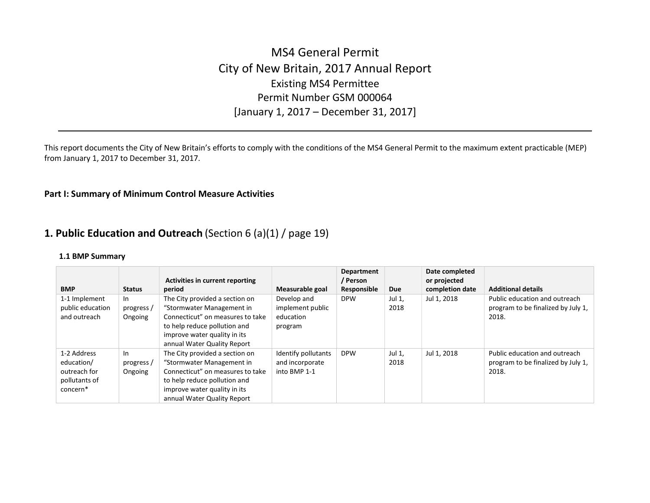# MS4 General Permit City of New Britain, 2017 Annual Report Existing MS4 Permittee Permit Number GSM 000064 [January 1, 2017 – December 31, 2017]

This report documents the City of New Britain's efforts to comply with the conditions of the MS4 General Permit to the maximum extent practicable (MEP) from January 1, 2017 to December 31, 2017.

## Part I: Summary of Minimum Control Measure Activities

## 1. Public Education and Outreach (Section 6 (a)(1) / page 19)

|                                                                        |                             | Activities in current reporting                                                                                                                                                                |                                                         | <b>Department</b><br>/ Person |                | Date completed<br>or projected |                                                                              |
|------------------------------------------------------------------------|-----------------------------|------------------------------------------------------------------------------------------------------------------------------------------------------------------------------------------------|---------------------------------------------------------|-------------------------------|----------------|--------------------------------|------------------------------------------------------------------------------|
| <b>BMP</b>                                                             | <b>Status</b>               | period                                                                                                                                                                                         | Measurable goal                                         | Responsible                   | <b>Due</b>     | completion date                | <b>Additional details</b>                                                    |
| 1-1 Implement<br>public education<br>and outreach                      | In<br>progress /<br>Ongoing | The City provided a section on<br>"Stormwater Management in<br>Connecticut" on measures to take<br>to help reduce pollution and<br>improve water quality in its<br>annual Water Quality Report | Develop and<br>implement public<br>education<br>program | <b>DPW</b>                    | Jul 1,<br>2018 | Jul 1, 2018                    | Public education and outreach<br>program to be finalized by July 1.<br>2018. |
| 1-2 Address<br>education/<br>outreach for<br>pollutants of<br>concern* | In<br>progress /<br>Ongoing | The City provided a section on<br>"Stormwater Management in<br>Connecticut" on measures to take<br>to help reduce pollution and<br>improve water quality in its<br>annual Water Quality Report | Identify pollutants<br>and incorporate<br>into BMP 1-1  | <b>DPW</b>                    | Jul 1,<br>2018 | Jul 1, 2018                    | Public education and outreach<br>program to be finalized by July 1.<br>2018. |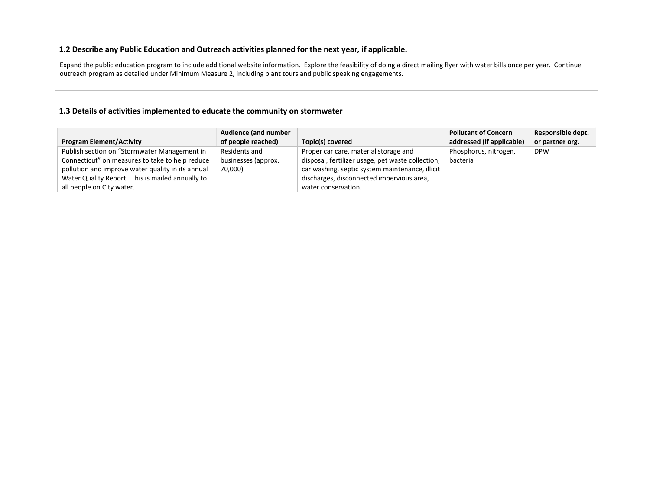## 1.2 Describe any Public Education and Outreach activities planned for the next year, if applicable.

Expand the public education program to include additional website information. Explore the feasibility of doing a direct mailing flyer with water bills once per year. Continue outreach program as detailed under Minimum Measure 2, including plant tours and public speaking engagements.

## 1.3 Details of activities implemented to educate the community on stormwater

|                                                   | <b>Audience (and number</b> |                                                   | <b>Pollutant of Concern</b> | Responsible dept. |
|---------------------------------------------------|-----------------------------|---------------------------------------------------|-----------------------------|-------------------|
| <b>Program Element/Activity</b>                   | of people reached)          | Topic(s) covered                                  | addressed (if applicable)   | or partner org.   |
| Publish section on "Stormwater Management in      | Residents and               | Proper car care, material storage and             | Phosphorus, nitrogen,       | <b>DPW</b>        |
| Connecticut" on measures to take to help reduce   | businesses (approx.         | disposal, fertilizer usage, pet waste collection, | bacteria                    |                   |
| pollution and improve water quality in its annual | 70,000)                     | car washing, septic system maintenance, illicit   |                             |                   |
| Water Quality Report. This is mailed annually to  |                             | discharges, disconnected impervious area,         |                             |                   |
| all people on City water.                         |                             | water conservation.                               |                             |                   |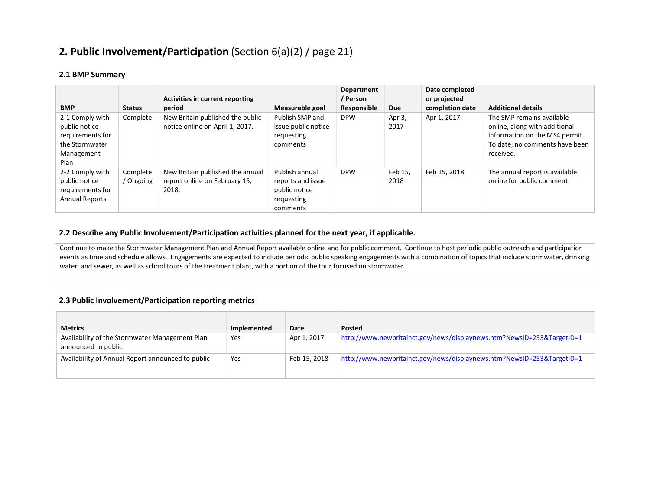## 2. Public Involvement/Participation (Section 6(a)(2) / page 21)

## 2.1 BMP Summary

| <b>BMP</b>                                                                                   | <b>Status</b>         | Activities in current reporting<br>period                                  | Measurable goal                                                                | <b>Department</b><br>/ Person<br>Responsible | <b>Due</b>      | Date completed<br>or projected<br>completion date | <b>Additional details</b>                                                                                                                   |
|----------------------------------------------------------------------------------------------|-----------------------|----------------------------------------------------------------------------|--------------------------------------------------------------------------------|----------------------------------------------|-----------------|---------------------------------------------------|---------------------------------------------------------------------------------------------------------------------------------------------|
| 2-1 Comply with<br>public notice<br>requirements for<br>the Stormwater<br>Management<br>Plan | Complete              | New Britain published the public<br>notice online on April 1, 2017.        | Publish SMP and<br>issue public notice<br>requesting<br>comments               | <b>DPW</b>                                   | Apr 3,<br>2017  | Apr 1, 2017                                       | The SMP remains available<br>online, along with additional<br>information on the MS4 permit.<br>To date, no comments have been<br>received. |
| 2-2 Comply with<br>public notice<br>requirements for<br><b>Annual Reports</b>                | Complete<br>/ Ongoing | New Britain published the annual<br>report online on February 15,<br>2018. | Publish annual<br>reports and issue<br>public notice<br>requesting<br>comments | <b>DPW</b>                                   | Feb 15.<br>2018 | Feb 15, 2018                                      | The annual report is available<br>online for public comment.                                                                                |

## 2.2 Describe any Public Involvement/Participation activities planned for the next year, if applicable.

Continue to make the Stormwater Management Plan and Annual Report available online and for public comment. Continue to host periodic public outreach and participation events as time and schedule allows. Engagements are expected to include periodic public speaking engagements with a combination of topics that include stormwater, drinking water, and sewer, as well as school tours of the treatment plant, with a portion of the tour focused on stormwater.

## 2.3 Public Involvement/Participation reporting metrics

| <b>Metrics</b>                                                        | Implemented | Date         | <b>Posted</b>                                                          |
|-----------------------------------------------------------------------|-------------|--------------|------------------------------------------------------------------------|
| Availability of the Stormwater Management Plan<br>announced to public | Yes         | Apr 1, 2017  | http://www.newbritainct.gov/news/displaynews.htm?NewsID=253&TargetID=1 |
| Availability of Annual Report announced to public                     | Yes         | Feb 15, 2018 | http://www.newbritainct.gov/news/displaynews.htm?NewsID=253&TargetID=1 |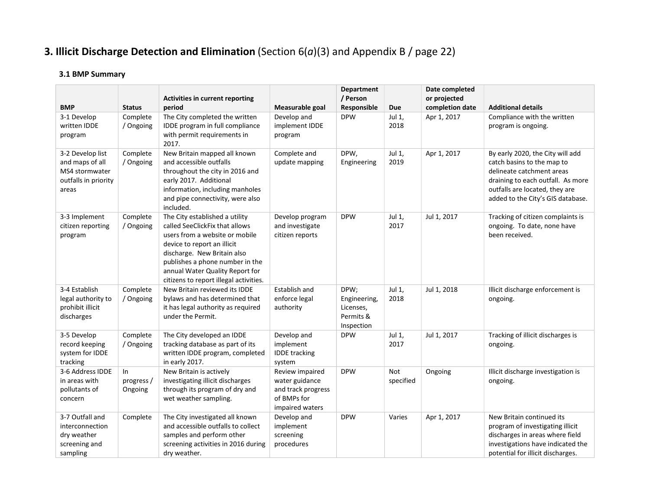# **3. Illicit Discharge Detection and Elimination** (Section  $6(a)(3)$  and Appendix B / page 22)

| <b>BMP</b>                                                                             | <b>Status</b>                | <b>Activities in current reporting</b><br>period                                                                                                                                                                                                                                 | Measurable goal                                                                           | <b>Department</b><br>/ Person<br>Responsible                 | <b>Due</b>              | Date completed<br>or projected<br>completion date | <b>Additional details</b>                                                                                                                                                                               |
|----------------------------------------------------------------------------------------|------------------------------|----------------------------------------------------------------------------------------------------------------------------------------------------------------------------------------------------------------------------------------------------------------------------------|-------------------------------------------------------------------------------------------|--------------------------------------------------------------|-------------------------|---------------------------------------------------|---------------------------------------------------------------------------------------------------------------------------------------------------------------------------------------------------------|
| 3-1 Develop<br>written IDDE<br>program                                                 | Complete<br>/ Ongoing        | The City completed the written<br>IDDE program in full compliance<br>with permit requirements in<br>2017.                                                                                                                                                                        | Develop and<br>implement IDDE<br>program                                                  | <b>DPW</b>                                                   | Jul 1,<br>2018          | Apr 1, 2017                                       | Compliance with the written<br>program is ongoing.                                                                                                                                                      |
| 3-2 Develop list<br>and maps of all<br>MS4 stormwater<br>outfalls in priority<br>areas | Complete<br>/ Ongoing        | New Britain mapped all known<br>and accessible outfalls<br>throughout the city in 2016 and<br>early 2017. Additional<br>information, including manholes<br>and pipe connectivity, were also<br>included.                                                                         | Complete and<br>update mapping                                                            | DPW,<br>Engineering                                          | Jul 1,<br>2019          | Apr 1, 2017                                       | By early 2020, the City will add<br>catch basins to the map to<br>delineate catchment areas<br>draining to each outfall. As more<br>outfalls are located, they are<br>added to the City's GIS database. |
| 3-3 Implement<br>citizen reporting<br>program                                          | Complete<br>/ Ongoing        | The City established a utility<br>called SeeClickFix that allows<br>users from a website or mobile<br>device to report an illicit<br>discharge. New Britain also<br>publishes a phone number in the<br>annual Water Quality Report for<br>citizens to report illegal activities. | Develop program<br>and investigate<br>citizen reports                                     | <b>DPW</b>                                                   | Jul 1,<br>2017          | Jul 1, 2017                                       | Tracking of citizen complaints is<br>ongoing. To date, none have<br>been received.                                                                                                                      |
| 3-4 Establish<br>legal authority to<br>prohibit illicit<br>discharges                  | Complete<br>/ Ongoing        | New Britain reviewed its IDDE<br>bylaws and has determined that<br>it has legal authority as required<br>under the Permit.                                                                                                                                                       | Establish and<br>enforce legal<br>authority                                               | DPW;<br>Engineering,<br>Licenses,<br>Permits &<br>Inspection | Jul 1,<br>2018          | Jul 1, 2018                                       | Illicit discharge enforcement is<br>ongoing.                                                                                                                                                            |
| 3-5 Develop<br>record keeping<br>system for IDDE<br>tracking                           | Complete<br>/ Ongoing        | The City developed an IDDE<br>tracking database as part of its<br>written IDDE program, completed<br>in early 2017.                                                                                                                                                              | Develop and<br>implement<br><b>IDDE</b> tracking<br>system                                | <b>DPW</b>                                                   | Jul 1,<br>2017          | Jul 1, 2017                                       | Tracking of illicit discharges is<br>ongoing.                                                                                                                                                           |
| 3-6 Address IDDE<br>in areas with<br>pollutants of<br>concern                          | In.<br>progress /<br>Ongoing | New Britain is actively<br>investigating illicit discharges<br>through its program of dry and<br>wet weather sampling.                                                                                                                                                           | Review impaired<br>water guidance<br>and track progress<br>of BMPs for<br>impaired waters | <b>DPW</b>                                                   | <b>Not</b><br>specified | Ongoing                                           | Illicit discharge investigation is<br>ongoing.                                                                                                                                                          |
| 3-7 Outfall and<br>interconnection<br>dry weather<br>screening and<br>sampling         | Complete                     | The City investigated all known<br>and accessible outfalls to collect<br>samples and perform other<br>screening activities in 2016 during<br>dry weather.                                                                                                                        | Develop and<br>implement<br>screening<br>procedures                                       | <b>DPW</b>                                                   | Varies                  | Apr 1, 2017                                       | New Britain continued its<br>program of investigating illicit<br>discharges in areas where field<br>investigations have indicated the<br>potential for illicit discharges.                              |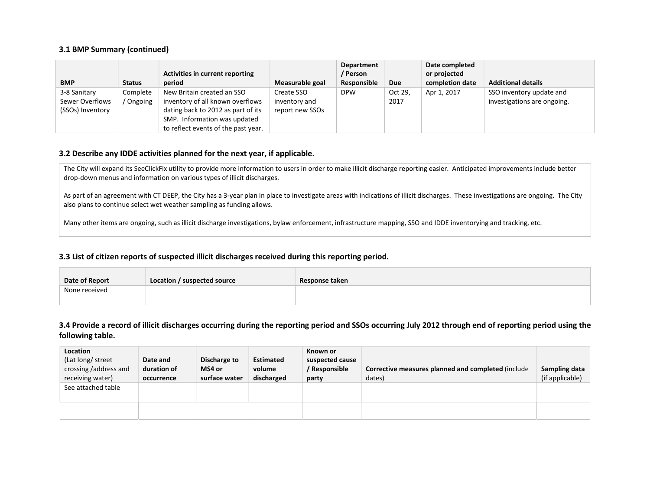#### 3.1 BMP Summary (continued)

|                  |               |                                     |                 | <b>Department</b> |            | Date completed  |                             |
|------------------|---------------|-------------------------------------|-----------------|-------------------|------------|-----------------|-----------------------------|
|                  |               | Activities in current reporting     |                 | / Person          |            | or projected    |                             |
| <b>BMP</b>       | <b>Status</b> | period                              | Measurable goal | Responsible       | <b>Due</b> | completion date | <b>Additional details</b>   |
| 3-8 Sanitary     | Complete      | New Britain created an SSO          | Create SSO      | <b>DPW</b>        | Oct 29,    | Apr 1, 2017     | SSO inventory update and    |
| Sewer Overflows  | / Ongoing     | inventory of all known overflows    | inventory and   |                   | 2017       |                 | investigations are ongoing. |
| (SSOs) Inventory |               | dating back to 2012 as part of its  | report new SSOs |                   |            |                 |                             |
|                  |               | SMP. Information was updated        |                 |                   |            |                 |                             |
|                  |               | to reflect events of the past year. |                 |                   |            |                 |                             |

#### 3.2 Describe any IDDE activities planned for the next year, if applicable.

The City will expand its SeeClickFix utility to provide more information to users in order to make illicit discharge reporting easier. Anticipated improvements include better drop-down menus and information on various types of illicit discharges.

As part of an agreement with CT DEEP, the City has a 3-year plan in place to investigate areas with indications of illicit discharges. These investigations are ongoing. The City also plans to continue select wet weather sampling as funding allows.

Many other items are ongoing, such as illicit discharge investigations, bylaw enforcement, infrastructure mapping, SSO and IDDE inventorying and tracking, etc.

## 3.3 List of citizen reports of suspected illicit discharges received during this reporting period.

| Date of Report | Location / suspected source | Response taken |
|----------------|-----------------------------|----------------|
| None received  |                             |                |

## 3.4 Provide a record of illicit discharges occurring during the reporting period and SSOs occurring July 2012 through end of reporting period using the following table.

| Location<br>(Lat long/ street)<br>crossing /address and<br>receiving water) | Date and<br>duration of<br>occurrence | Discharge to<br>MS4 or<br>surface water | <b>Estimated</b><br>volume<br>discharged | Known or<br>suspected cause<br>/ Responsible<br>party | Corrective measures planned and completed (include<br>dates) | Sampling data<br>(if applicable) |
|-----------------------------------------------------------------------------|---------------------------------------|-----------------------------------------|------------------------------------------|-------------------------------------------------------|--------------------------------------------------------------|----------------------------------|
| See attached table                                                          |                                       |                                         |                                          |                                                       |                                                              |                                  |
|                                                                             |                                       |                                         |                                          |                                                       |                                                              |                                  |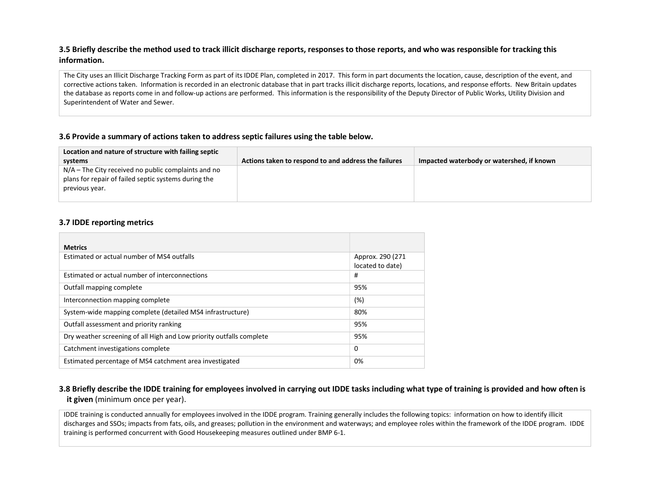## 3.5 Briefly describe the method used to track illicit discharge reports, responses to those reports, and who was responsible for tracking this information.

The City uses an Illicit Discharge Tracking Form as part of its IDDE Plan, completed in 2017. This form in part documents the location, cause, description of the event, and corrective actions taken. Information is recorded in an electronic database that in part tracks illicit discharge reports, locations, and response efforts. New Britain updates the database as reports come in and follow-up actions are performed. This information is the responsibility of the Deputy Director of Public Works, Utility Division and Superintendent of Water and Sewer.

## 3.6 Provide a summary of actions taken to address septic failures using the table below.

| Location and nature of structure with failing septic                                                                            |                                                      |                                           |
|---------------------------------------------------------------------------------------------------------------------------------|------------------------------------------------------|-------------------------------------------|
| systems                                                                                                                         | Actions taken to respond to and address the failures | Impacted waterbody or watershed, if known |
| $N/A$ – The City received no public complaints and no<br>plans for repair of failed septic systems during the<br>previous year. |                                                      |                                           |

#### 3.7 IDDE reporting metrics

| <b>Metrics</b>                                                       |                                       |
|----------------------------------------------------------------------|---------------------------------------|
| Estimated or actual number of MS4 outfalls                           | Approx. 290 (271)<br>located to date) |
| Estimated or actual number of interconnections                       | #                                     |
| Outfall mapping complete                                             | 95%                                   |
| Interconnection mapping complete                                     | $(\%)$                                |
| System-wide mapping complete (detailed MS4 infrastructure)           | 80%                                   |
| Outfall assessment and priority ranking                              | 95%                                   |
| Dry weather screening of all High and Low priority outfalls complete | 95%                                   |
| Catchment investigations complete                                    | 0                                     |
| Estimated percentage of MS4 catchment area investigated              | 0%                                    |

## 3.8 Briefly describe the IDDE training for employees involved in carrying out IDDE tasks including what type of training is provided and how often is it given (minimum once per year).

IDDE training is conducted annually for employees involved in the IDDE program. Training generally includes the following topics: information on how to identify illicit discharges and SSOs; impacts from fats, oils, and greases; pollution in the environment and waterways; and employee roles within the framework of the IDDE program. IDDE training is performed concurrent with Good Housekeeping measures outlined under BMP 6-1.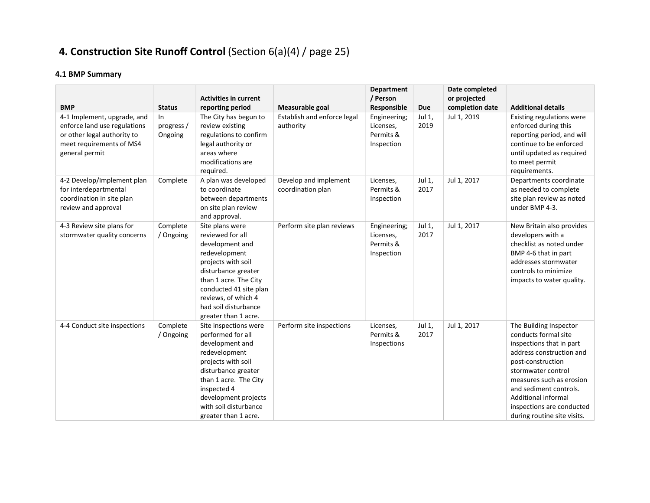# 4. Construction Site Runoff Control (Section 6(a)(4) / page 25)

| <b>BMP</b>                                                                                                                               | <b>Status</b>               | <b>Activities in current</b><br>reporting period                                                                                                                                                                                               | Measurable goal                            | <b>Department</b><br>/ Person<br>Responsible         | Due            | Date completed<br>or projected<br>completion date | <b>Additional details</b>                                                                                                                                                                                                                                                                         |
|------------------------------------------------------------------------------------------------------------------------------------------|-----------------------------|------------------------------------------------------------------------------------------------------------------------------------------------------------------------------------------------------------------------------------------------|--------------------------------------------|------------------------------------------------------|----------------|---------------------------------------------------|---------------------------------------------------------------------------------------------------------------------------------------------------------------------------------------------------------------------------------------------------------------------------------------------------|
| 4-1 Implement, upgrade, and<br>enforce land use regulations<br>or other legal authority to<br>meet requirements of MS4<br>general permit | In<br>progress /<br>Ongoing | The City has begun to<br>review existing<br>regulations to confirm<br>legal authority or<br>areas where<br>modifications are<br>required.                                                                                                      | Establish and enforce legal<br>authority   | Engineering;<br>Licenses,<br>Permits &<br>Inspection | Jul 1,<br>2019 | Jul 1, 2019                                       | Existing regulations were<br>enforced during this<br>reporting period, and will<br>continue to be enforced<br>until updated as required<br>to meet permit<br>requirements.                                                                                                                        |
| 4-2 Develop/Implement plan<br>for interdepartmental<br>coordination in site plan<br>review and approval                                  | Complete                    | A plan was developed<br>to coordinate<br>between departments<br>on site plan review<br>and approval.                                                                                                                                           | Develop and implement<br>coordination plan | Licenses,<br>Permits &<br>Inspection                 | Jul 1,<br>2017 | Jul 1, 2017                                       | Departments coordinate<br>as needed to complete<br>site plan review as noted<br>under BMP 4-3.                                                                                                                                                                                                    |
| 4-3 Review site plans for<br>stormwater quality concerns                                                                                 | Complete<br>/ Ongoing       | Site plans were<br>reviewed for all<br>development and<br>redevelopment<br>projects with soil<br>disturbance greater<br>than 1 acre. The City<br>conducted 41 site plan<br>reviews, of which 4<br>had soil disturbance<br>greater than 1 acre. | Perform site plan reviews                  | Engineering;<br>Licenses,<br>Permits &<br>Inspection | Jul 1,<br>2017 | Jul 1, 2017                                       | New Britain also provides<br>developers with a<br>checklist as noted under<br>BMP 4-6 that in part<br>addresses stormwater<br>controls to minimize<br>impacts to water quality.                                                                                                                   |
| 4-4 Conduct site inspections                                                                                                             | Complete<br>/ Ongoing       | Site inspections were<br>performed for all<br>development and<br>redevelopment<br>projects with soil<br>disturbance greater<br>than 1 acre. The City<br>inspected 4<br>development projects<br>with soil disturbance<br>greater than 1 acre.   | Perform site inspections                   | Licenses,<br>Permits &<br>Inspections                | Jul 1,<br>2017 | Jul 1, 2017                                       | The Building Inspector<br>conducts formal site<br>inspections that in part<br>address construction and<br>post-construction<br>stormwater control<br>measures such as erosion<br>and sediment controls.<br><b>Additional informal</b><br>inspections are conducted<br>during routine site visits. |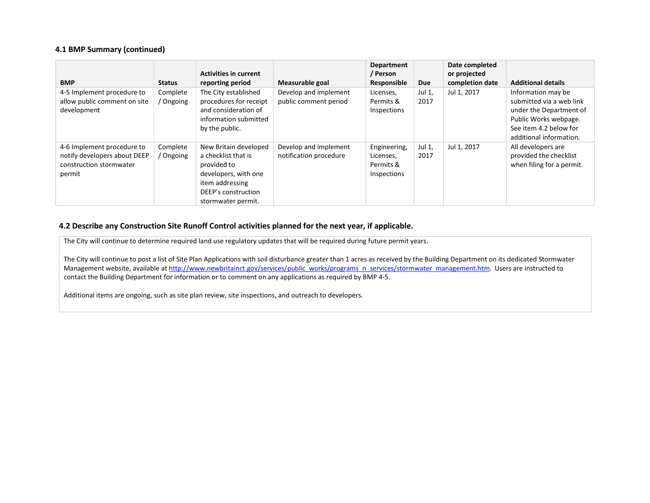#### 4.1 BMP Summary (continued)

| <b>BMP</b>                                                                                      | <b>Status</b>       | <b>Activities in current</b><br>reporting period                                                                                                    | Measurable goal                                 | <b>Department</b><br>/ Person<br>Responsible          | Due            | Date completed<br>or projected<br>completion date | <b>Additional details</b>                                                                                                                               |
|-------------------------------------------------------------------------------------------------|---------------------|-----------------------------------------------------------------------------------------------------------------------------------------------------|-------------------------------------------------|-------------------------------------------------------|----------------|---------------------------------------------------|---------------------------------------------------------------------------------------------------------------------------------------------------------|
| 4-5 Implement procedure to<br>allow public comment on site<br>development                       | Complete<br>Ongoing | The City established<br>procedures for receipt<br>and consideration of<br>information submitted<br>by the public.                                   | Develop and implement<br>public comment period  | Licenses,<br>Permits &<br>Inspections                 | Jul 1,<br>2017 | Jul 1, 2017                                       | Information may be<br>submitted via a web link<br>under the Department of<br>Public Works webpage.<br>See item 4.2 below for<br>additional information. |
| 4-6 Implement procedure to<br>notify developers about DEEP<br>construction stormwater<br>permit | Complete<br>Ongoing | New Britain developed<br>a checklist that is<br>provided to<br>developers, with one<br>item addressing<br>DEEP's construction<br>stormwater permit. | Develop and implement<br>notification procedure | Engineering,<br>Licenses,<br>Permits &<br>Inspections | Jul 1,<br>2017 | Jul 1, 2017                                       | All developers are<br>provided the checklist<br>when filing for a permit.                                                                               |

## 4.2 Describe any Construction Site Runoff Control activities planned for the next year, if applicable.

The City will continue to determine required land use regulatory updates that will be required during future permit years.

The City will continue to post a list of Site Plan Applications with soil disturbance greater than 1 acres as received by the Building Department on its dedicated Stormwater Management website, available at http://www.newbritainct.gov/services/public\_works/programs\_n\_services/stormwater\_management.htm. Users are instructed to contact the Building Department for information or to comment on any applications as required by BMP 4-5.

Additional items are ongoing, such as site plan review, site inspections, and outreach to developers.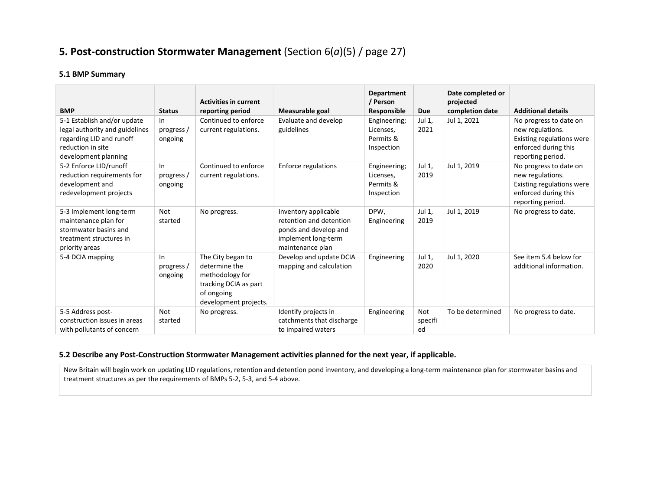## 5. Post-construction Stormwater Management (Section  $6(a)(5)$  / page 27)

## 5.1 BMP Summary

| <b>BMP</b>                                                                                                                             | <b>Status</b>                 | <b>Activities in current</b><br>reporting period                                                                      | Measurable goal                                                                                                     | Department<br>/ Person<br>Responsible                | Due                         | Date completed or<br>projected<br>completion date | <b>Additional details</b>                                                                                            |
|----------------------------------------------------------------------------------------------------------------------------------------|-------------------------------|-----------------------------------------------------------------------------------------------------------------------|---------------------------------------------------------------------------------------------------------------------|------------------------------------------------------|-----------------------------|---------------------------------------------------|----------------------------------------------------------------------------------------------------------------------|
| 5-1 Establish and/or update<br>legal authority and guidelines<br>regarding LID and runoff<br>reduction in site<br>development planning | In<br>progress /<br>ongoing   | Continued to enforce<br>current regulations.                                                                          | Evaluate and develop<br>guidelines                                                                                  | Engineering;<br>Licenses,<br>Permits &<br>Inspection | Jul 1,<br>2021              | Jul 1, 2021                                       | No progress to date on<br>new regulations.<br>Existing regulations were<br>enforced during this<br>reporting period. |
| 5-2 Enforce LID/runoff<br>reduction requirements for<br>development and<br>redevelopment projects                                      | $\ln$<br>progress/<br>ongoing | Continued to enforce<br>current regulations.                                                                          | <b>Enforce regulations</b>                                                                                          | Engineering;<br>Licenses,<br>Permits &<br>Inspection | Jul 1,<br>2019              | Jul 1, 2019                                       | No progress to date on<br>new regulations.<br>Existing regulations were<br>enforced during this<br>reporting period. |
| 5-3 Implement long-term<br>maintenance plan for<br>stormwater basins and<br>treatment structures in<br>priority areas                  | Not<br>started                | No progress.                                                                                                          | Inventory applicable<br>retention and detention<br>ponds and develop and<br>implement long-term<br>maintenance plan | DPW,<br>Engineering                                  | Jul 1,<br>2019              | Jul 1, 2019                                       | No progress to date.                                                                                                 |
| 5-4 DCIA mapping                                                                                                                       | In<br>progress /<br>ongoing   | The City began to<br>determine the<br>methodology for<br>tracking DCIA as part<br>of ongoing<br>development projects. | Develop and update DCIA<br>mapping and calculation                                                                  | Engineering                                          | Jul 1,<br>2020              | Jul 1, 2020                                       | See item 5.4 below for<br>additional information.                                                                    |
| 5-5 Address post-<br>construction issues in areas<br>with pollutants of concern                                                        | Not<br>started                | No progress.                                                                                                          | Identify projects in<br>catchments that discharge<br>to impaired waters                                             | Engineering                                          | <b>Not</b><br>specifi<br>ed | To be determined                                  | No progress to date.                                                                                                 |

## 5.2 Describe any Post-Construction Stormwater Management activities planned for the next year, if applicable.

New Britain will begin work on updating LID regulations, retention and detention pond inventory, and developing a long-term maintenance plan for stormwater basins and treatment structures as per the requirements of BMPs 5-2, 5-3, and 5-4 above.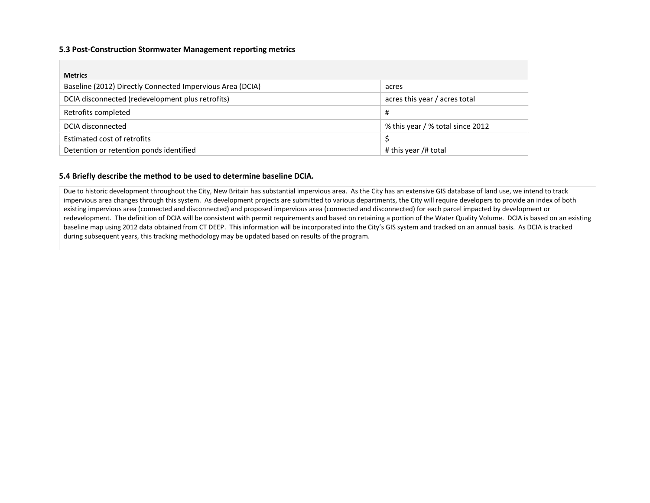#### 5.3 Post-Construction Stormwater Management reporting metrics

| <b>Metrics</b>                                            |                                  |
|-----------------------------------------------------------|----------------------------------|
| Baseline (2012) Directly Connected Impervious Area (DCIA) | acres                            |
| DCIA disconnected (redevelopment plus retrofits)          | acres this year / acres total    |
| Retrofits completed                                       | #                                |
| DCIA disconnected                                         | % this year / % total since 2012 |
| Estimated cost of retrofits                               |                                  |
| Detention or retention ponds identified                   | # this year /# total             |

## 5.4 Briefly describe the method to be used to determine baseline DCIA.

Due to historic development throughout the City, New Britain has substantial impervious area. As the City has an extensive GIS database of land use, we intend to track impervious area changes through this system. As development projects are submitted to various departments, the City will require developers to provide an index of both existing impervious area (connected and disconnected) and proposed impervious area (connected and disconnected) for each parcel impacted by development or redevelopment. The definition of DCIA will be consistent with permit requirements and based on retaining a portion of the Water Quality Volume. DCIA is based on an existing baseline map using 2012 data obtained from CT DEEP. This information will be incorporated into the City's GIS system and tracked on an annual basis. As DCIA is tracked during subsequent years, this tracking methodology may be updated based on results of the program.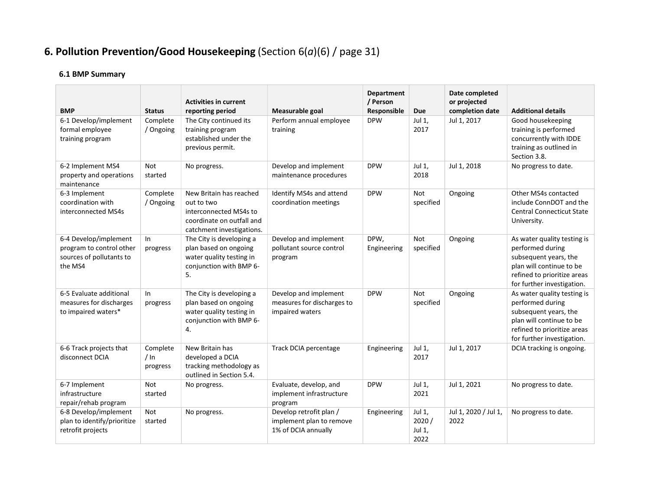# 6. Pollution Prevention/Good Housekeeping (Section  $6(a)(6)$  / page 31)

| <b>BMP</b>                                                                               | <b>Status</b>                   | <b>Activities in current</b><br>reporting period                                                                          | Measurable goal                                                            | <b>Department</b><br>/ Person<br>Responsible | Due                               | Date completed<br>or projected<br>completion date | <b>Additional details</b>                                                                                                                                         |
|------------------------------------------------------------------------------------------|---------------------------------|---------------------------------------------------------------------------------------------------------------------------|----------------------------------------------------------------------------|----------------------------------------------|-----------------------------------|---------------------------------------------------|-------------------------------------------------------------------------------------------------------------------------------------------------------------------|
| 6-1 Develop/implement<br>formal employee<br>training program                             | Complete<br>/ Ongoing           | The City continued its<br>training program<br>established under the<br>previous permit.                                   | Perform annual employee<br>training                                        | <b>DPW</b>                                   | Jul 1,<br>2017                    | Jul 1, 2017                                       | Good housekeeping<br>training is performed<br>concurrently with IDDE<br>training as outlined in<br>Section 3.8.                                                   |
| 6-2 Implement MS4<br>property and operations<br>maintenance                              | Not<br>started                  | No progress.                                                                                                              | Develop and implement<br>maintenance procedures                            | <b>DPW</b>                                   | Jul 1,<br>2018                    | Jul 1, 2018                                       | No progress to date.                                                                                                                                              |
| 6-3 Implement<br>coordination with<br>interconnected MS4s                                | Complete<br>/ Ongoing           | New Britain has reached<br>out to two<br>interconnected MS4s to<br>coordinate on outfall and<br>catchment investigations. | Identify MS4s and attend<br>coordination meetings                          | <b>DPW</b>                                   | <b>Not</b><br>specified           | Ongoing                                           | Other MS4s contacted<br>include ConnDOT and the<br><b>Central Connecticut State</b><br>University.                                                                |
| 6-4 Develop/implement<br>program to control other<br>sources of pollutants to<br>the MS4 | In.<br>progress                 | The City is developing a<br>plan based on ongoing<br>water quality testing in<br>conjunction with BMP 6-<br>5.            | Develop and implement<br>pollutant source control<br>program               | DPW,<br>Engineering                          | Not<br>specified                  | Ongoing                                           | As water quality testing is<br>performed during<br>subsequent years, the<br>plan will continue to be<br>refined to prioritize areas<br>for further investigation. |
| 6-5 Evaluate additional<br>measures for discharges<br>to impaired waters*                | In<br>progress                  | The City is developing a<br>plan based on ongoing<br>water quality testing in<br>conjunction with BMP 6-<br>4.            | Develop and implement<br>measures for discharges to<br>impaired waters     | <b>DPW</b>                                   | <b>Not</b><br>specified           | Ongoing                                           | As water quality testing is<br>performed during<br>subsequent years, the<br>plan will continue to be<br>refined to prioritize areas<br>for further investigation. |
| 6-6 Track projects that<br>disconnect DCIA                                               | Complete<br>$/ \ln$<br>progress | New Britain has<br>developed a DCIA<br>tracking methodology as<br>outlined in Section 5.4.                                | Track DCIA percentage                                                      | Engineering                                  | Jul 1,<br>2017                    | Jul 1, 2017                                       | DCIA tracking is ongoing.                                                                                                                                         |
| 6-7 Implement<br>infrastructure<br>repair/rehab program                                  | Not<br>started                  | No progress.                                                                                                              | Evaluate, develop, and<br>implement infrastructure<br>program              | <b>DPW</b>                                   | Jul 1,<br>2021                    | Jul 1, 2021                                       | No progress to date.                                                                                                                                              |
| 6-8 Develop/implement<br>plan to identify/prioritize<br>retrofit projects                | Not<br>started                  | No progress.                                                                                                              | Develop retrofit plan /<br>implement plan to remove<br>1% of DCIA annually | Engineering                                  | Jul 1,<br>2020/<br>Jul 1,<br>2022 | Jul 1, 2020 / Jul 1,<br>2022                      | No progress to date.                                                                                                                                              |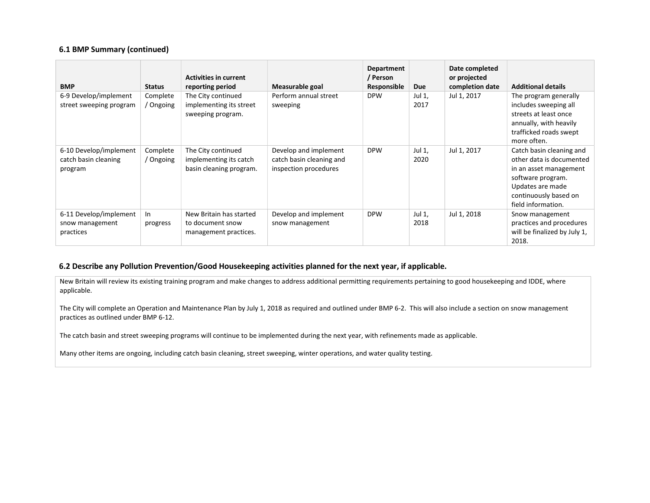#### 6.1 BMP Summary (continued)

| <b>BMP</b>                                                | <b>Status</b>         | <b>Activities in current</b><br>reporting period                        | Measurable goal                                                            | Department<br>/ Person<br>Responsible | Due            | Date completed<br>or projected<br>completion date | <b>Additional details</b>                                                                                                                                              |
|-----------------------------------------------------------|-----------------------|-------------------------------------------------------------------------|----------------------------------------------------------------------------|---------------------------------------|----------------|---------------------------------------------------|------------------------------------------------------------------------------------------------------------------------------------------------------------------------|
| 6-9 Develop/implement<br>street sweeping program          | Complete<br>/ Ongoing | The City continued<br>implementing its street<br>sweeping program.      | Perform annual street<br>sweeping                                          | <b>DPW</b>                            | Jul 1,<br>2017 | Jul 1, 2017                                       | The program generally<br>includes sweeping all<br>streets at least once<br>annually, with heavily<br>trafficked roads swept<br>more often.                             |
| 6-10 Develop/implement<br>catch basin cleaning<br>program | Complete<br>/ Ongoing | The City continued<br>implementing its catch<br>basin cleaning program. | Develop and implement<br>catch basin cleaning and<br>inspection procedures | <b>DPW</b>                            | Jul 1,<br>2020 | Jul 1, 2017                                       | Catch basin cleaning and<br>other data is documented<br>in an asset management<br>software program.<br>Updates are made<br>continuously based on<br>field information. |
| 6-11 Develop/implement<br>snow management<br>practices    | In<br>progress        | New Britain has started<br>to document snow<br>management practices.    | Develop and implement<br>snow management                                   | <b>DPW</b>                            | Jul 1,<br>2018 | Jul 1, 2018                                       | Snow management<br>practices and procedures<br>will be finalized by July 1,<br>2018.                                                                                   |

## 6.2 Describe any Pollution Prevention/Good Housekeeping activities planned for the next year, if applicable.

New Britain will review its existing training program and make changes to address additional permitting requirements pertaining to good housekeeping and IDDE, where applicable.

The City will complete an Operation and Maintenance Plan by July 1, 2018 as required and outlined under BMP 6-2. This will also include a section on snow management practices as outlined under BMP 6-12.

The catch basin and street sweeping programs will continue to be implemented during the next year, with refinements made as applicable.

Many other items are ongoing, including catch basin cleaning, street sweeping, winter operations, and water quality testing.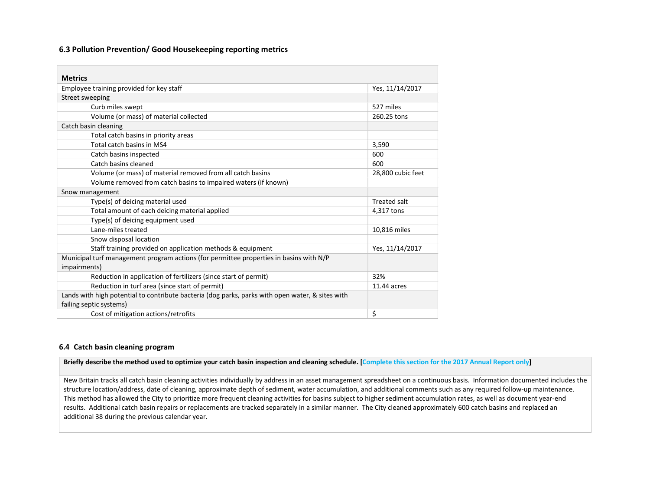#### 6.3 Pollution Prevention/ Good Housekeeping reporting metrics

| <b>Metrics</b>                                                                                   |                     |  |  |  |  |
|--------------------------------------------------------------------------------------------------|---------------------|--|--|--|--|
| Employee training provided for key staff                                                         | Yes, 11/14/2017     |  |  |  |  |
| Street sweeping                                                                                  |                     |  |  |  |  |
| Curb miles swept                                                                                 | 527 miles           |  |  |  |  |
| Volume (or mass) of material collected                                                           | 260.25 tons         |  |  |  |  |
| Catch basin cleaning                                                                             |                     |  |  |  |  |
| Total catch basins in priority areas                                                             |                     |  |  |  |  |
| Total catch basins in MS4                                                                        | 3,590               |  |  |  |  |
| Catch basins inspected                                                                           | 600                 |  |  |  |  |
| Catch basins cleaned                                                                             | 600                 |  |  |  |  |
| Volume (or mass) of material removed from all catch basins                                       | 28,800 cubic feet   |  |  |  |  |
| Volume removed from catch basins to impaired waters (if known)                                   |                     |  |  |  |  |
| Snow management                                                                                  |                     |  |  |  |  |
| Type(s) of deicing material used                                                                 | <b>Treated salt</b> |  |  |  |  |
| Total amount of each deicing material applied                                                    | 4,317 tons          |  |  |  |  |
| Type(s) of deicing equipment used                                                                |                     |  |  |  |  |
| Lane-miles treated                                                                               | 10,816 miles        |  |  |  |  |
| Snow disposal location                                                                           |                     |  |  |  |  |
| Staff training provided on application methods & equipment                                       | Yes, 11/14/2017     |  |  |  |  |
| Municipal turf management program actions (for permittee properties in basins with N/P           |                     |  |  |  |  |
| impairments)                                                                                     |                     |  |  |  |  |
| Reduction in application of fertilizers (since start of permit)                                  | 32%                 |  |  |  |  |
| Reduction in turf area (since start of permit)                                                   | 11.44 acres         |  |  |  |  |
| Lands with high potential to contribute bacteria (dog parks, parks with open water, & sites with |                     |  |  |  |  |
| failing septic systems)                                                                          |                     |  |  |  |  |
| Cost of mitigation actions/retrofits                                                             | \$                  |  |  |  |  |

## 6.4 Catch basin cleaning program

#### Briefly describe the method used to optimize your catch basin inspection and cleaning schedule. [Complete this section for the 2017 Annual Report only]

New Britain tracks all catch basin cleaning activities individually by address in an asset management spreadsheet on a continuous basis. Information documented includes the structure location/address, date of cleaning, approximate depth of sediment, water accumulation, and additional comments such as any required follow-up maintenance. This method has allowed the City to prioritize more frequent cleaning activities for basins subject to higher sediment accumulation rates, as well as document year-end results. Additional catch basin repairs or replacements are tracked separately in a similar manner. The City cleaned approximately 600 catch basins and replaced an additional 38 during the previous calendar year.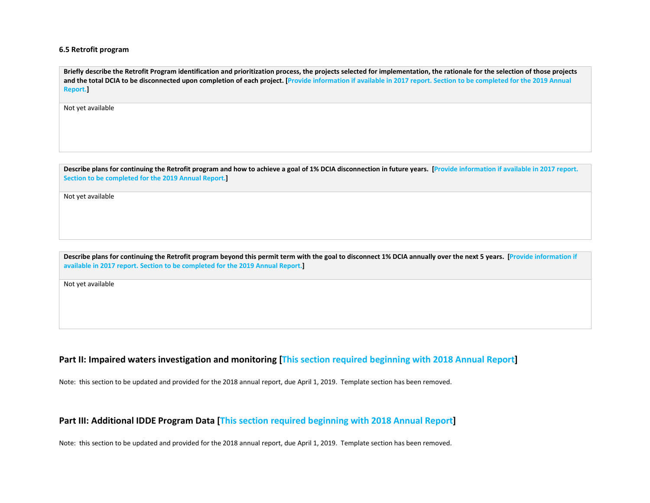#### 6.5 Retrofit program

Briefly describe the Retrofit Program identification and prioritization process, the projects selected for implementation, the rationale for the selection of those projects and the total DCIA to be disconnected upon completion of each project. [Provide information if available in 2017 report. Section to be completed for the 2019 Annual Report.]

Not yet available

Describe plans for continuing the Retrofit program and how to achieve a goal of 1% DCIA disconnection in future years. [Provide information if available in 2017 report. Section to be completed for the 2019 Annual Report.]

Not yet available

Describe plans for continuing the Retrofit program beyond this permit term with the goal to disconnect 1% DCIA annually over the next 5 years. [Provide information if available in 2017 report. Section to be completed for the 2019 Annual Report.]

Not yet available

## Part II: Impaired waters investigation and monitoring [This section required beginning with 2018 Annual Report]

Note: this section to be updated and provided for the 2018 annual report, due April 1, 2019. Template section has been removed.

## Part III: Additional IDDE Program Data [This section required beginning with 2018 Annual Report]

Note: this section to be updated and provided for the 2018 annual report, due April 1, 2019. Template section has been removed.